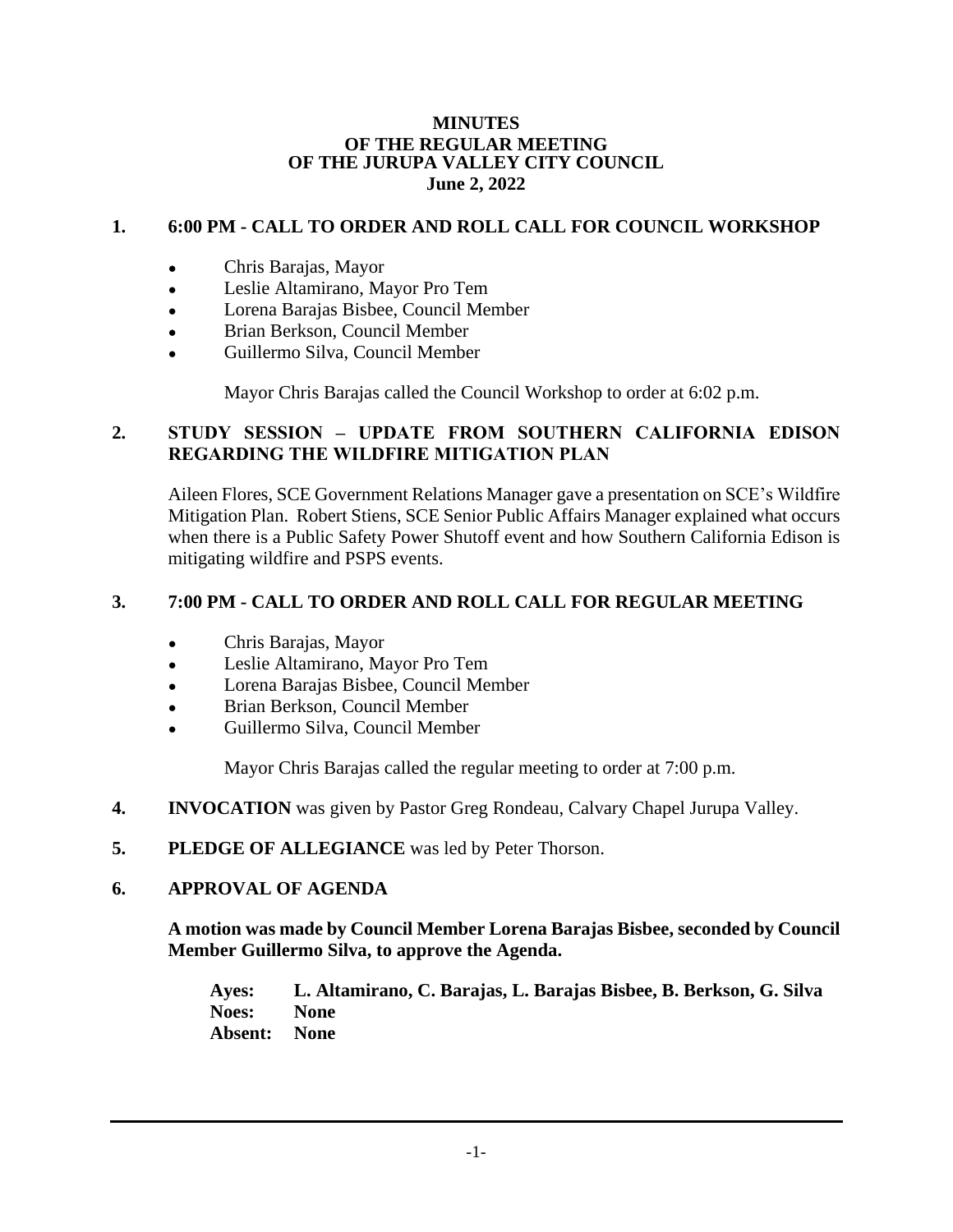#### **MINUTES OF THE REGULAR MEETING OF THE JURUPA VALLEY CITY COUNCIL June 2, 2022**

# **1. 6:00 PM - CALL TO ORDER AND ROLL CALL FOR COUNCIL WORKSHOP**

- Chris Barajas, Mayor
- Leslie Altamirano, Mayor Pro Tem
- Lorena Barajas Bisbee, Council Member
- Brian Berkson, Council Member
- Guillermo Silva, Council Member

Mayor Chris Barajas called the Council Workshop to order at 6:02 p.m.

## **2. STUDY SESSION – UPDATE FROM SOUTHERN CALIFORNIA EDISON REGARDING THE WILDFIRE MITIGATION PLAN**

Aileen Flores, SCE Government Relations Manager gave a presentation on SCE's Wildfire Mitigation Plan. Robert Stiens, SCE Senior Public Affairs Manager explained what occurs when there is a Public Safety Power Shutoff event and how Southern California Edison is mitigating wildfire and PSPS events.

#### **3. 7:00 PM - CALL TO ORDER AND ROLL CALL FOR REGULAR MEETING**

- Chris Barajas, Mayor
- Leslie Altamirano, Mayor Pro Tem
- Lorena Barajas Bisbee, Council Member
- Brian Berkson, Council Member
- Guillermo Silva, Council Member

Mayor Chris Barajas called the regular meeting to order at 7:00 p.m.

- **4. INVOCATION** was given by Pastor Greg Rondeau, Calvary Chapel Jurupa Valley.
- **5. PLEDGE OF ALLEGIANCE** was led by Peter Thorson.

#### **6. APPROVAL OF AGENDA**

**A motion was made by Council Member Lorena Barajas Bisbee, seconded by Council Member Guillermo Silva, to approve the Agenda.**

**Ayes: L. Altamirano, C. Barajas, L. Barajas Bisbee, B. Berkson, G. Silva Noes: None Absent: None**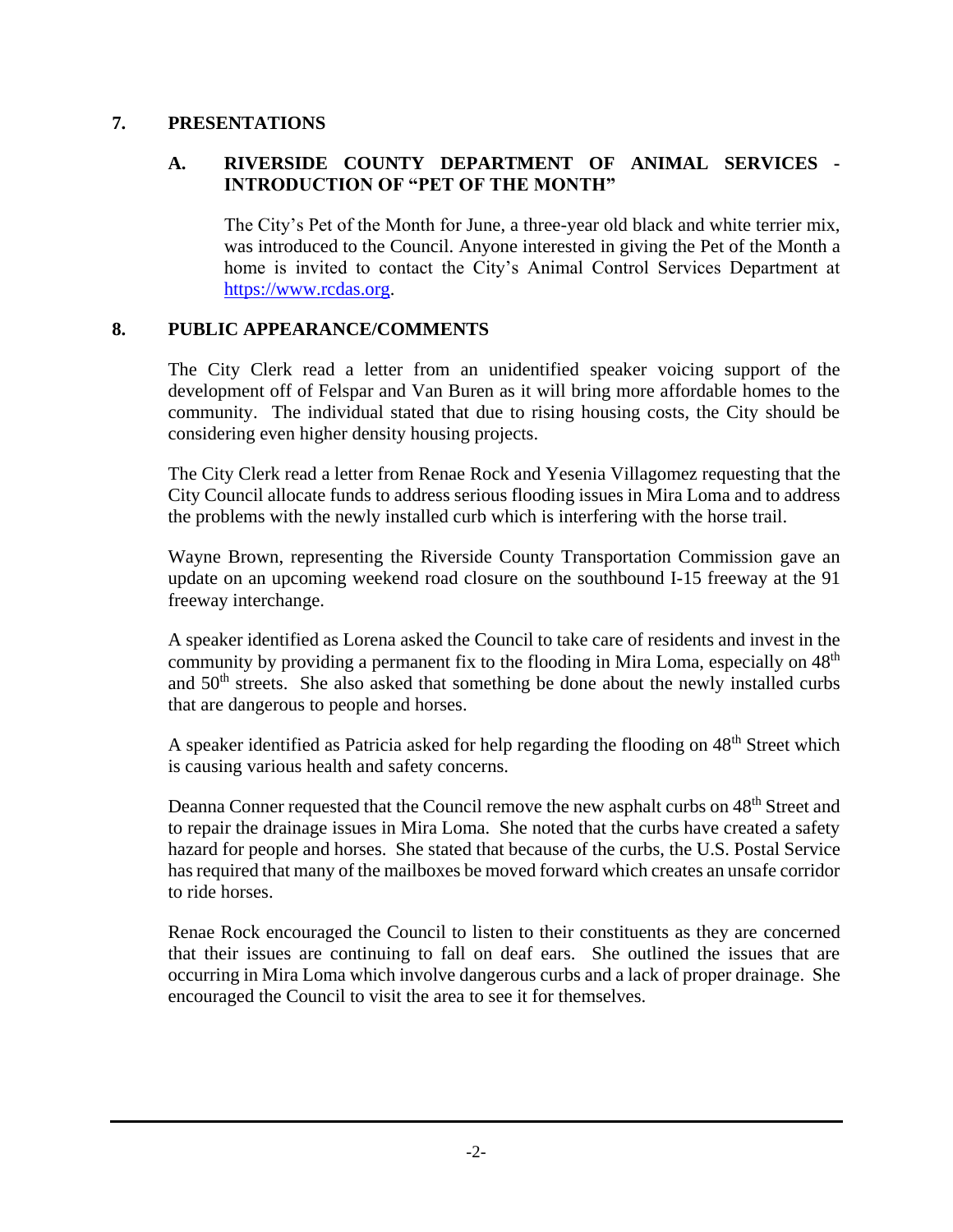## **7. PRESENTATIONS**

## **A. RIVERSIDE COUNTY DEPARTMENT OF ANIMAL SERVICES - INTRODUCTION OF "PET OF THE MONTH"**

The City's Pet of the Month for June, a three-year old black and white terrier mix, was introduced to the Council. Anyone interested in giving the Pet of the Month a home is invited to contact the City's Animal Control Services Department at [https://www.rcdas.org.](https://www.rcdas.org/)

## **8. PUBLIC APPEARANCE/COMMENTS**

The City Clerk read a letter from an unidentified speaker voicing support of the development off of Felspar and Van Buren as it will bring more affordable homes to the community. The individual stated that due to rising housing costs, the City should be considering even higher density housing projects.

The City Clerk read a letter from Renae Rock and Yesenia Villagomez requesting that the City Council allocate funds to address serious flooding issues in Mira Loma and to address the problems with the newly installed curb which is interfering with the horse trail.

Wayne Brown, representing the Riverside County Transportation Commission gave an update on an upcoming weekend road closure on the southbound I-15 freeway at the 91 freeway interchange.

A speaker identified as Lorena asked the Council to take care of residents and invest in the community by providing a permanent fix to the flooding in Mira Loma, especially on 48<sup>th</sup> and  $50<sup>th</sup>$  streets. She also asked that something be done about the newly installed curbs that are dangerous to people and horses.

A speaker identified as Patricia asked for help regarding the flooding on 48<sup>th</sup> Street which is causing various health and safety concerns.

Deanna Conner requested that the Council remove the new asphalt curbs on 48<sup>th</sup> Street and to repair the drainage issues in Mira Loma. She noted that the curbs have created a safety hazard for people and horses. She stated that because of the curbs, the U.S. Postal Service has required that many of the mailboxes be moved forward which creates an unsafe corridor to ride horses.

Renae Rock encouraged the Council to listen to their constituents as they are concerned that their issues are continuing to fall on deaf ears. She outlined the issues that are occurring in Mira Loma which involve dangerous curbs and a lack of proper drainage. She encouraged the Council to visit the area to see it for themselves.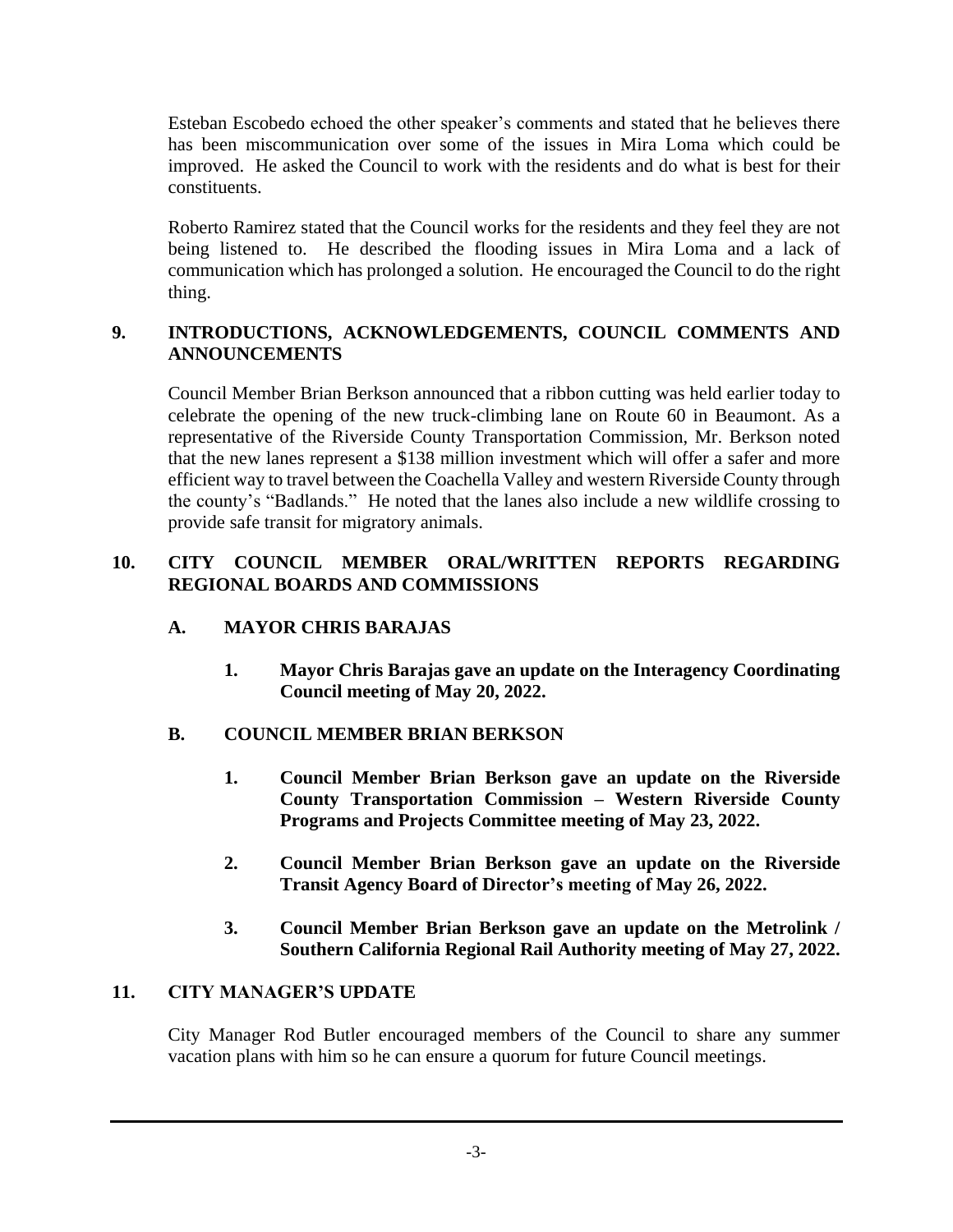Esteban Escobedo echoed the other speaker's comments and stated that he believes there has been miscommunication over some of the issues in Mira Loma which could be improved. He asked the Council to work with the residents and do what is best for their constituents.

Roberto Ramirez stated that the Council works for the residents and they feel they are not being listened to. He described the flooding issues in Mira Loma and a lack of communication which has prolonged a solution. He encouraged the Council to do the right thing.

# **9. INTRODUCTIONS, ACKNOWLEDGEMENTS, COUNCIL COMMENTS AND ANNOUNCEMENTS**

Council Member Brian Berkson announced that a ribbon cutting was held earlier today to celebrate the opening of the new truck-climbing lane on Route 60 in Beaumont. As a representative of the Riverside County Transportation Commission, Mr. Berkson noted that the new lanes represent a \$138 million investment which will offer a safer and more efficient way to travel between the Coachella Valley and western Riverside County through the county's "Badlands." He noted that the lanes also include a new wildlife crossing to provide safe transit for migratory animals.

## **10. CITY COUNCIL MEMBER ORAL/WRITTEN REPORTS REGARDING REGIONAL BOARDS AND COMMISSIONS**

# **A. MAYOR CHRIS BARAJAS**

**1. Mayor Chris Barajas gave an update on the Interagency Coordinating Council meeting of May 20, 2022.**

## **B. COUNCIL MEMBER BRIAN BERKSON**

- **1. Council Member Brian Berkson gave an update on the Riverside County Transportation Commission – Western Riverside County Programs and Projects Committee meeting of May 23, 2022.**
- **2. Council Member Brian Berkson gave an update on the Riverside Transit Agency Board of Director's meeting of May 26, 2022.**
- **3. Council Member Brian Berkson gave an update on the Metrolink / Southern California Regional Rail Authority meeting of May 27, 2022.**

## **11. CITY MANAGER'S UPDATE**

City Manager Rod Butler encouraged members of the Council to share any summer vacation plans with him so he can ensure a quorum for future Council meetings.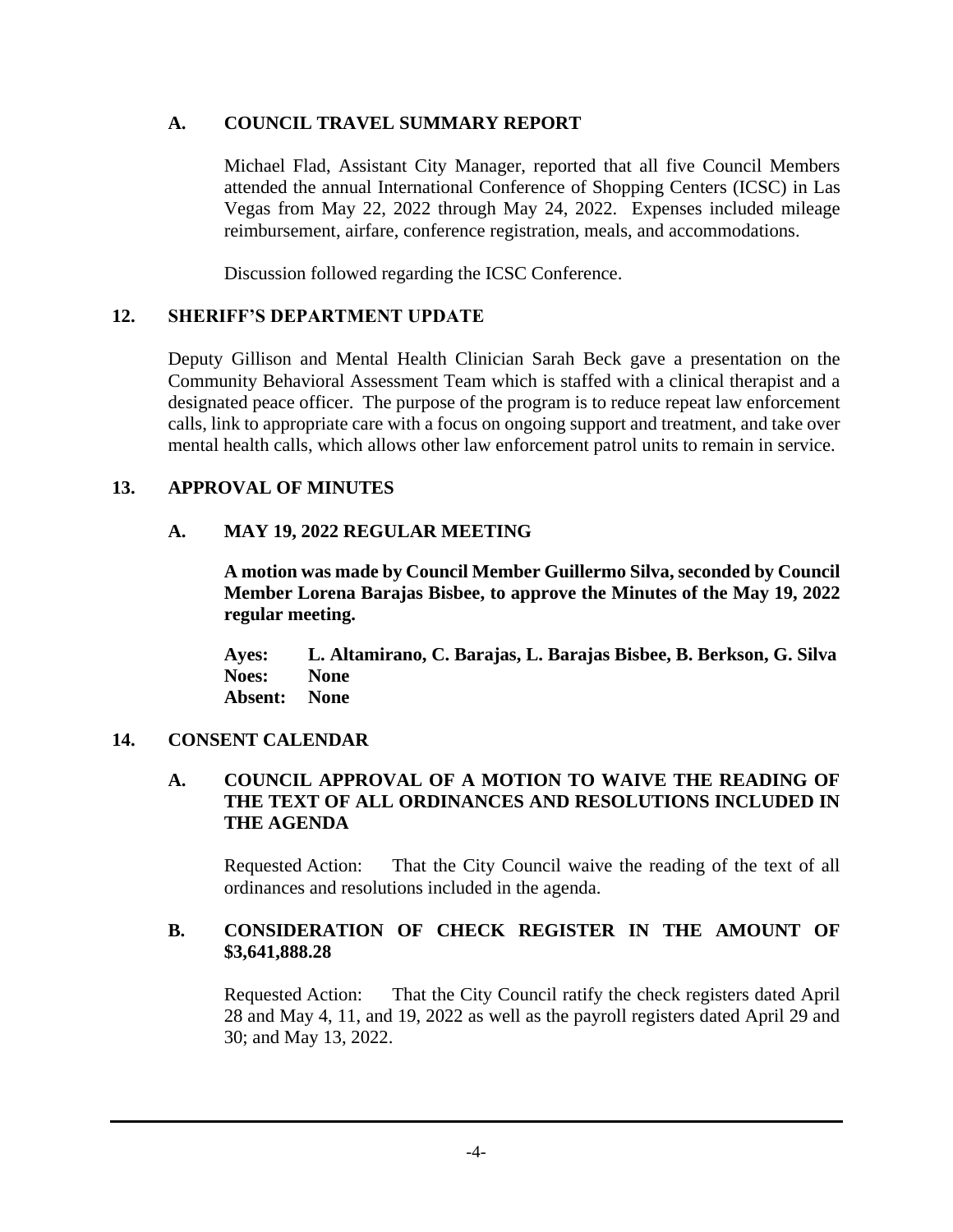## **A. COUNCIL TRAVEL SUMMARY REPORT**

Michael Flad, Assistant City Manager, reported that all five Council Members attended the annual International Conference of Shopping Centers (ICSC) in Las Vegas from May 22, 2022 through May 24, 2022. Expenses included mileage reimbursement, airfare, conference registration, meals, and accommodations.

Discussion followed regarding the ICSC Conference.

## **12. SHERIFF'S DEPARTMENT UPDATE**

Deputy Gillison and Mental Health Clinician Sarah Beck gave a presentation on the Community Behavioral Assessment Team which is staffed with a clinical therapist and a designated peace officer. The purpose of the program is to reduce repeat law enforcement calls, link to appropriate care with a focus on ongoing support and treatment, and take over mental health calls, which allows other law enforcement patrol units to remain in service.

## **13. APPROVAL OF MINUTES**

## **A. MAY 19, 2022 REGULAR MEETING**

**A motion was made by Council Member Guillermo Silva, seconded by Council Member Lorena Barajas Bisbee, to approve the Minutes of the May 19, 2022 regular meeting.**

**Ayes: L. Altamirano, C. Barajas, L. Barajas Bisbee, B. Berkson, G. Silva Noes: None Absent: None**

## **14. CONSENT CALENDAR**

## **A. COUNCIL APPROVAL OF A MOTION TO WAIVE THE READING OF THE TEXT OF ALL ORDINANCES AND RESOLUTIONS INCLUDED IN THE AGENDA**

Requested Action: That the City Council waive the reading of the text of all ordinances and resolutions included in the agenda.

## **B. CONSIDERATION OF CHECK REGISTER IN THE AMOUNT OF \$3,641,888.28**

Requested Action: That the City Council ratify the check registers dated April 28 and May 4, 11, and 19, 2022 as well as the payroll registers dated April 29 and 30; and May 13, 2022.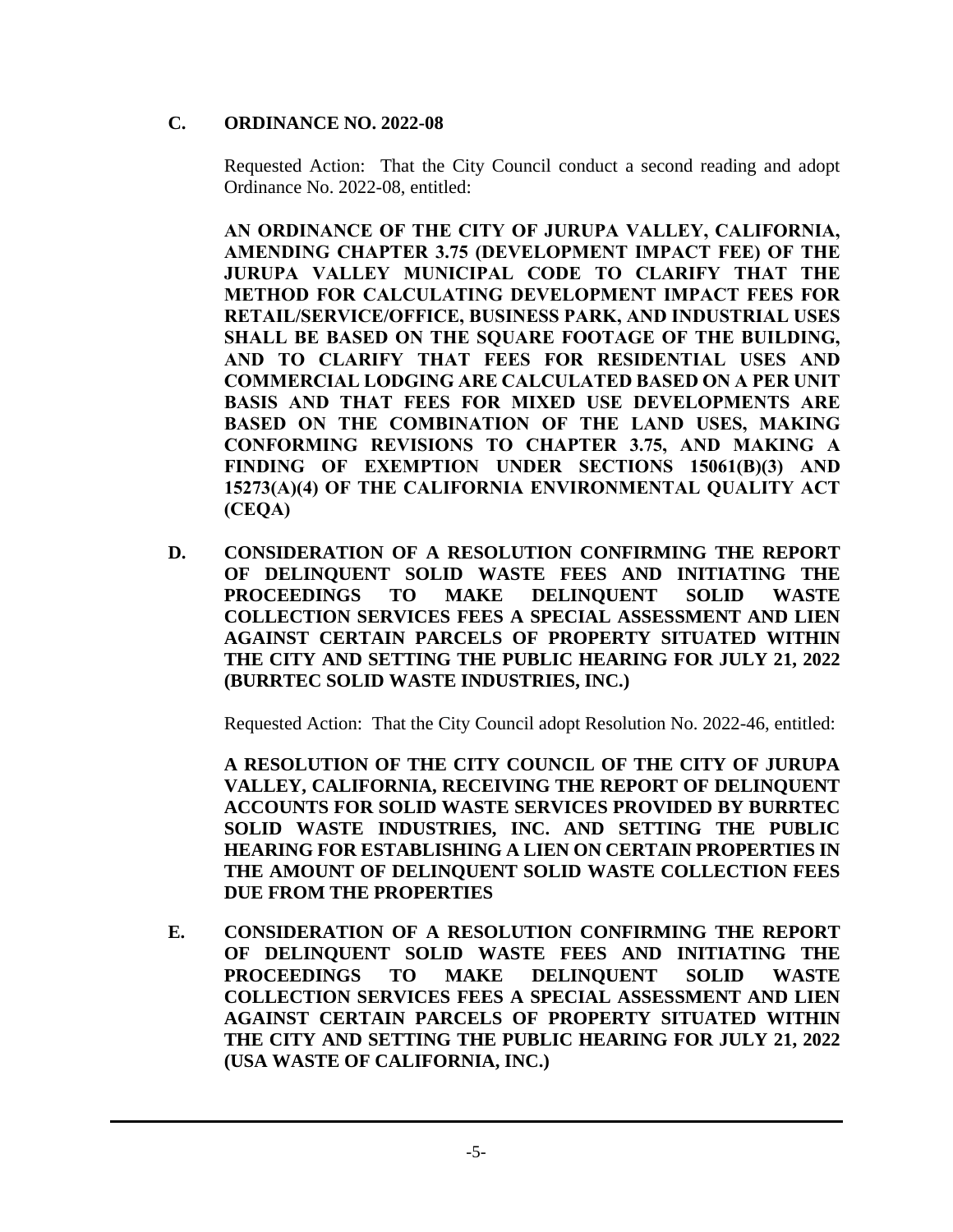## **C. ORDINANCE NO. 2022-08**

Requested Action: That the City Council conduct a second reading and adopt Ordinance No. 2022-08, entitled:

**AN ORDINANCE OF THE CITY OF JURUPA VALLEY, CALIFORNIA, AMENDING CHAPTER 3.75 (DEVELOPMENT IMPACT FEE) OF THE JURUPA VALLEY MUNICIPAL CODE TO CLARIFY THAT THE METHOD FOR CALCULATING DEVELOPMENT IMPACT FEES FOR RETAIL/SERVICE/OFFICE, BUSINESS PARK, AND INDUSTRIAL USES SHALL BE BASED ON THE SQUARE FOOTAGE OF THE BUILDING, AND TO CLARIFY THAT FEES FOR RESIDENTIAL USES AND COMMERCIAL LODGING ARE CALCULATED BASED ON A PER UNIT BASIS AND THAT FEES FOR MIXED USE DEVELOPMENTS ARE BASED ON THE COMBINATION OF THE LAND USES, MAKING CONFORMING REVISIONS TO CHAPTER 3.75, AND MAKING A FINDING OF EXEMPTION UNDER SECTIONS 15061(B)(3) AND 15273(A)(4) OF THE CALIFORNIA ENVIRONMENTAL QUALITY ACT (CEQA)**

**D. CONSIDERATION OF A RESOLUTION CONFIRMING THE REPORT OF DELINQUENT SOLID WASTE FEES AND INITIATING THE PROCEEDINGS TO MAKE DELINQUENT SOLID WASTE COLLECTION SERVICES FEES A SPECIAL ASSESSMENT AND LIEN AGAINST CERTAIN PARCELS OF PROPERTY SITUATED WITHIN THE CITY AND SETTING THE PUBLIC HEARING FOR JULY 21, 2022 (BURRTEC SOLID WASTE INDUSTRIES, INC.)**

Requested Action: That the City Council adopt Resolution No. 2022-46, entitled:

**A RESOLUTION OF THE CITY COUNCIL OF THE CITY OF JURUPA VALLEY, CALIFORNIA, RECEIVING THE REPORT OF DELINQUENT ACCOUNTS FOR SOLID WASTE SERVICES PROVIDED BY BURRTEC SOLID WASTE INDUSTRIES, INC. AND SETTING THE PUBLIC HEARING FOR ESTABLISHING A LIEN ON CERTAIN PROPERTIES IN THE AMOUNT OF DELINQUENT SOLID WASTE COLLECTION FEES DUE FROM THE PROPERTIES**

**E. CONSIDERATION OF A RESOLUTION CONFIRMING THE REPORT OF DELINQUENT SOLID WASTE FEES AND INITIATING THE PROCEEDINGS TO MAKE DELINQUENT SOLID WASTE COLLECTION SERVICES FEES A SPECIAL ASSESSMENT AND LIEN AGAINST CERTAIN PARCELS OF PROPERTY SITUATED WITHIN THE CITY AND SETTING THE PUBLIC HEARING FOR JULY 21, 2022 (USA WASTE OF CALIFORNIA, INC.)**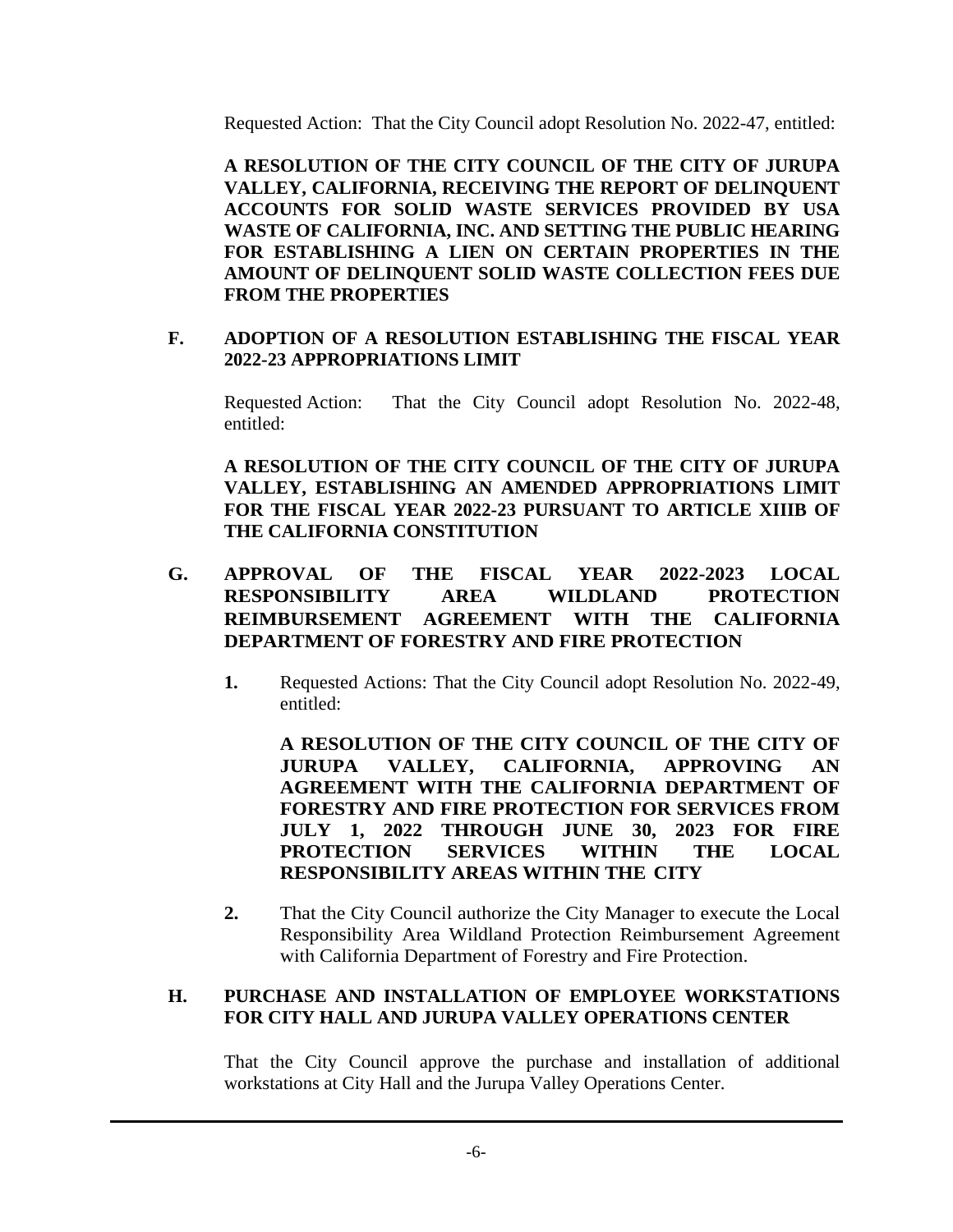Requested Action: That the City Council adopt Resolution No. 2022-47, entitled:

**A RESOLUTION OF THE CITY COUNCIL OF THE CITY OF JURUPA VALLEY, CALIFORNIA, RECEIVING THE REPORT OF DELINQUENT ACCOUNTS FOR SOLID WASTE SERVICES PROVIDED BY USA WASTE OF CALIFORNIA, INC. AND SETTING THE PUBLIC HEARING FOR ESTABLISHING A LIEN ON CERTAIN PROPERTIES IN THE AMOUNT OF DELINQUENT SOLID WASTE COLLECTION FEES DUE FROM THE PROPERTIES**

#### **F. ADOPTION OF A RESOLUTION ESTABLISHING THE FISCAL YEAR 2022-23 APPROPRIATIONS LIMIT**

Requested Action: That the City Council adopt Resolution No. 2022-48, entitled:

**A RESOLUTION OF THE CITY COUNCIL OF THE CITY OF JURUPA VALLEY, ESTABLISHING AN AMENDED APPROPRIATIONS LIMIT FOR THE FISCAL YEAR 2022-23 PURSUANT TO ARTICLE XIIIB OF THE CALIFORNIA CONSTITUTION**

- **G. APPROVAL OF THE FISCAL YEAR 2022-2023 LOCAL RESPONSIBILITY AREA WILDLAND PROTECTION REIMBURSEMENT AGREEMENT WITH THE CALIFORNIA DEPARTMENT OF FORESTRY AND FIRE PROTECTION** 
	- **1.** Requested Actions: That the City Council adopt Resolution No. 2022-49, entitled:

**A RESOLUTION OF THE CITY COUNCIL OF THE CITY OF JURUPA VALLEY, CALIFORNIA, APPROVING AN AGREEMENT WITH THE CALIFORNIA DEPARTMENT OF FORESTRY AND FIRE PROTECTION FOR SERVICES FROM JULY 1, 2022 THROUGH JUNE 30, 2023 FOR FIRE PROTECTION SERVICES WITHIN THE LOCAL RESPONSIBILITY AREAS WITHIN THE CITY**

**2.** That the City Council authorize the City Manager to execute the Local Responsibility Area Wildland Protection Reimbursement Agreement with California Department of Forestry and Fire Protection.

#### **H. PURCHASE AND INSTALLATION OF EMPLOYEE WORKSTATIONS FOR CITY HALL AND JURUPA VALLEY OPERATIONS CENTER**

That the City Council approve the purchase and installation of additional workstations at City Hall and the Jurupa Valley Operations Center.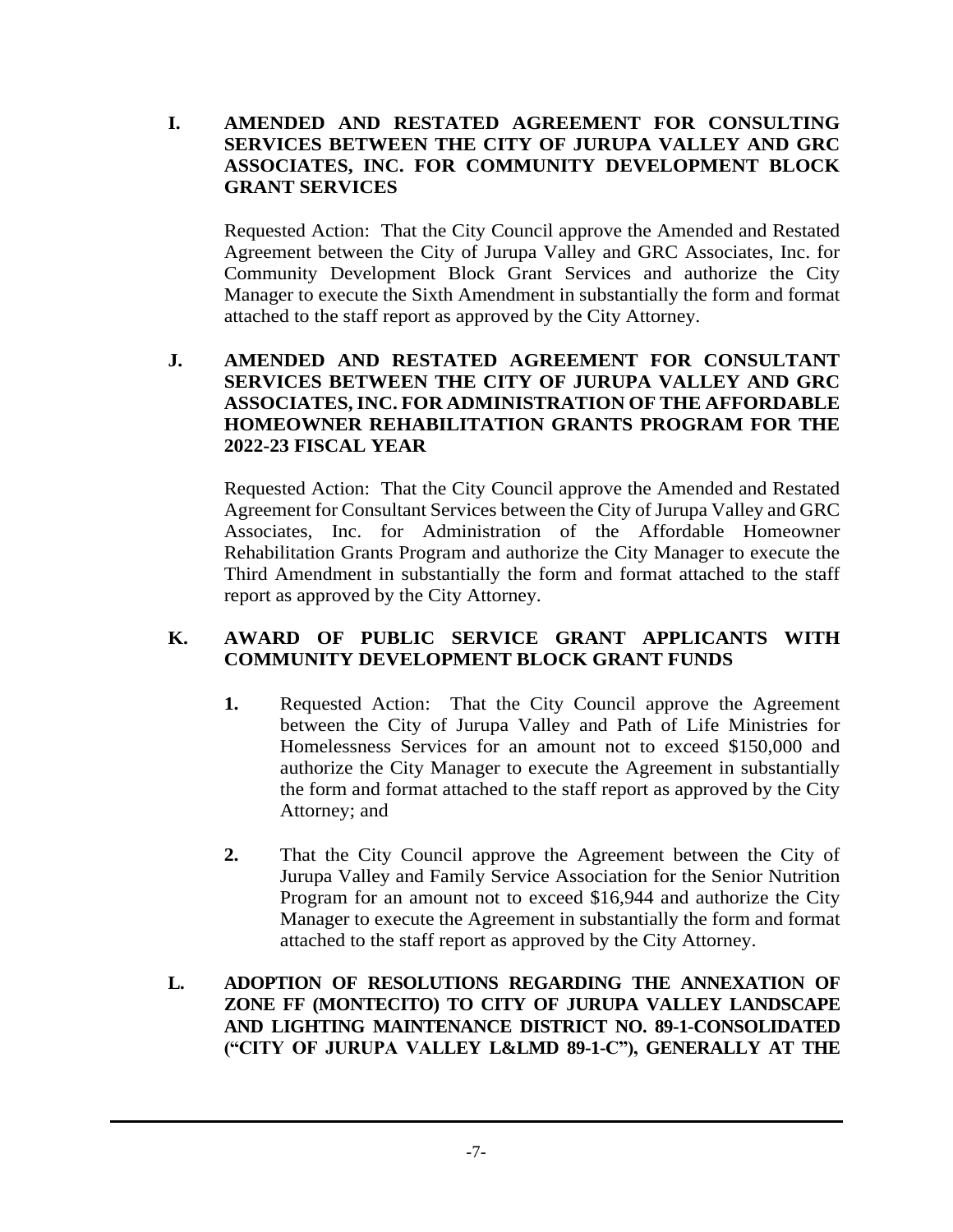## **I. AMENDED AND RESTATED AGREEMENT FOR CONSULTING SERVICES BETWEEN THE CITY OF JURUPA VALLEY AND GRC ASSOCIATES, INC. FOR COMMUNITY DEVELOPMENT BLOCK GRANT SERVICES**

Requested Action: That the City Council approve the Amended and Restated Agreement between the City of Jurupa Valley and GRC Associates, Inc. for Community Development Block Grant Services and authorize the City Manager to execute the Sixth Amendment in substantially the form and format attached to the staff report as approved by the City Attorney.

## **J. AMENDED AND RESTATED AGREEMENT FOR CONSULTANT SERVICES BETWEEN THE CITY OF JURUPA VALLEY AND GRC ASSOCIATES, INC. FOR ADMINISTRATION OF THE AFFORDABLE HOMEOWNER REHABILITATION GRANTS PROGRAM FOR THE 2022-23 FISCAL YEAR**

Requested Action: That the City Council approve the Amended and Restated Agreement for Consultant Services between the City of Jurupa Valley and GRC Associates, Inc. for Administration of the Affordable Homeowner Rehabilitation Grants Program and authorize the City Manager to execute the Third Amendment in substantially the form and format attached to the staff report as approved by the City Attorney.

## **K. AWARD OF PUBLIC SERVICE GRANT APPLICANTS WITH COMMUNITY DEVELOPMENT BLOCK GRANT FUNDS**

- **1.** Requested Action: That the City Council approve the Agreement between the City of Jurupa Valley and Path of Life Ministries for Homelessness Services for an amount not to exceed \$150,000 and authorize the City Manager to execute the Agreement in substantially the form and format attached to the staff report as approved by the City Attorney; and
- **2.** That the City Council approve the Agreement between the City of Jurupa Valley and Family Service Association for the Senior Nutrition Program for an amount not to exceed \$16,944 and authorize the City Manager to execute the Agreement in substantially the form and format attached to the staff report as approved by the City Attorney.
- **L. ADOPTION OF RESOLUTIONS REGARDING THE ANNEXATION OF ZONE FF (MONTECITO) TO CITY OF JURUPA VALLEY LANDSCAPE AND LIGHTING MAINTENANCE DISTRICT NO. 89-1-CONSOLIDATED ("CITY OF JURUPA VALLEY L&LMD 89-1-C"), GENERALLY AT THE**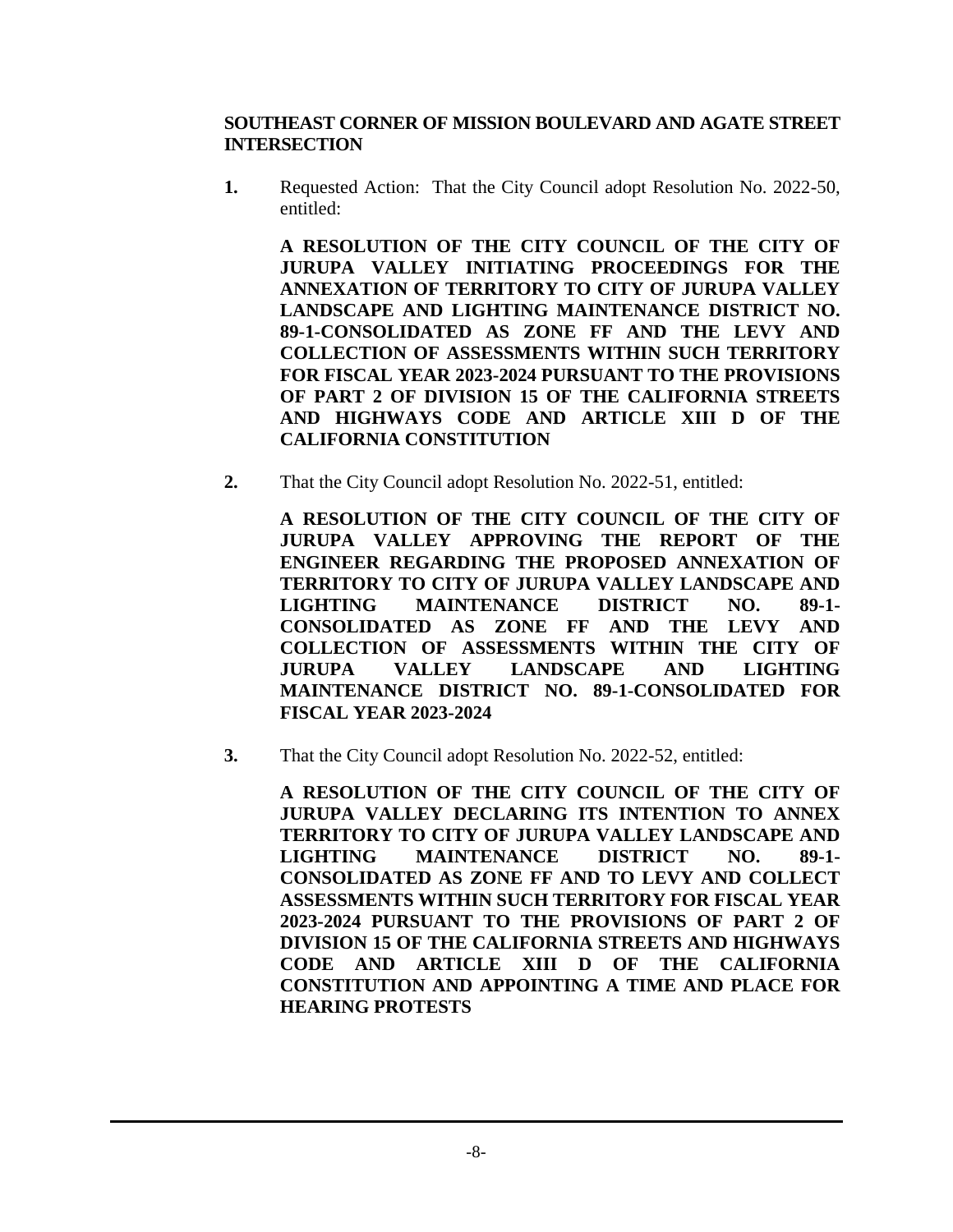#### **SOUTHEAST CORNER OF MISSION BOULEVARD AND AGATE STREET INTERSECTION**

**1.** Requested Action: That the City Council adopt Resolution No. 2022-50, entitled:

**A RESOLUTION OF THE CITY COUNCIL OF THE CITY OF JURUPA VALLEY INITIATING PROCEEDINGS FOR THE ANNEXATION OF TERRITORY TO CITY OF JURUPA VALLEY LANDSCAPE AND LIGHTING MAINTENANCE DISTRICT NO. 89-1-CONSOLIDATED AS ZONE FF AND THE LEVY AND COLLECTION OF ASSESSMENTS WITHIN SUCH TERRITORY FOR FISCAL YEAR 2023-2024 PURSUANT TO THE PROVISIONS OF PART 2 OF DIVISION 15 OF THE CALIFORNIA STREETS AND HIGHWAYS CODE AND ARTICLE XIII D OF THE CALIFORNIA CONSTITUTION**

**2.** That the City Council adopt Resolution No. 2022-51, entitled:

**A RESOLUTION OF THE CITY COUNCIL OF THE CITY OF JURUPA VALLEY APPROVING THE REPORT OF THE ENGINEER REGARDING THE PROPOSED ANNEXATION OF TERRITORY TO CITY OF JURUPA VALLEY LANDSCAPE AND LIGHTING MAINTENANCE DISTRICT NO. 89-1- CONSOLIDATED AS ZONE FF AND THE LEVY AND COLLECTION OF ASSESSMENTS WITHIN THE CITY OF JURUPA VALLEY LANDSCAPE AND LIGHTING MAINTENANCE DISTRICT NO. 89-1-CONSOLIDATED FOR FISCAL YEAR 2023-2024**

**3.** That the City Council adopt Resolution No. 2022-52, entitled:

**A RESOLUTION OF THE CITY COUNCIL OF THE CITY OF JURUPA VALLEY DECLARING ITS INTENTION TO ANNEX TERRITORY TO CITY OF JURUPA VALLEY LANDSCAPE AND LIGHTING MAINTENANCE DISTRICT NO. 89-1- CONSOLIDATED AS ZONE FF AND TO LEVY AND COLLECT ASSESSMENTS WITHIN SUCH TERRITORY FOR FISCAL YEAR 2023-2024 PURSUANT TO THE PROVISIONS OF PART 2 OF DIVISION 15 OF THE CALIFORNIA STREETS AND HIGHWAYS CODE AND ARTICLE XIII D OF THE CALIFORNIA CONSTITUTION AND APPOINTING A TIME AND PLACE FOR HEARING PROTESTS**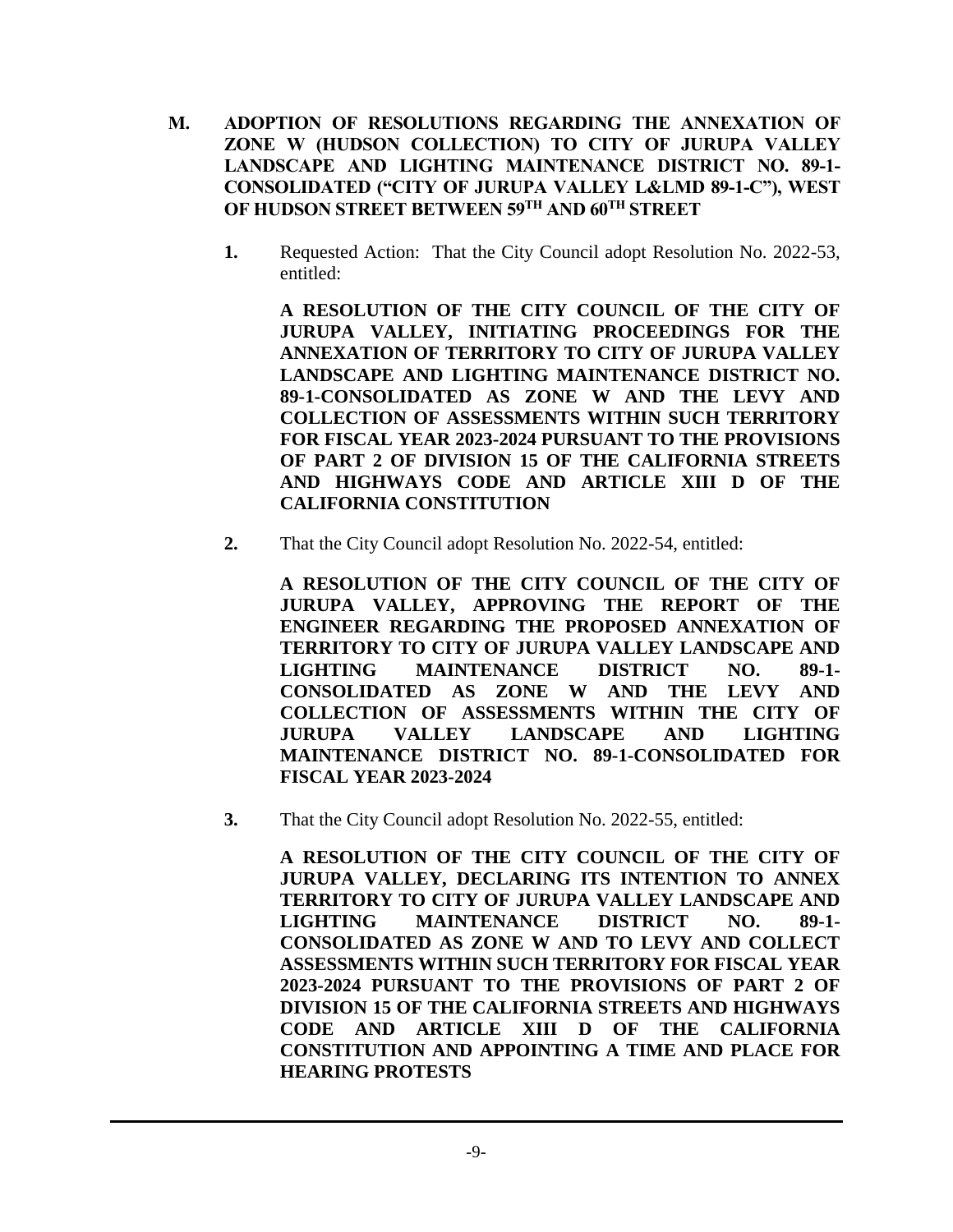- **M. ADOPTION OF RESOLUTIONS REGARDING THE ANNEXATION OF ZONE W (HUDSON COLLECTION) TO CITY OF JURUPA VALLEY LANDSCAPE AND LIGHTING MAINTENANCE DISTRICT NO. 89-1- CONSOLIDATED ("CITY OF JURUPA VALLEY L&LMD 89-1-C"), WEST OF HUDSON STREET BETWEEN 59TH AND 60TH STREET**
	- **1.** Requested Action: That the City Council adopt Resolution No. 2022-53, entitled:

**A RESOLUTION OF THE CITY COUNCIL OF THE CITY OF JURUPA VALLEY, INITIATING PROCEEDINGS FOR THE ANNEXATION OF TERRITORY TO CITY OF JURUPA VALLEY LANDSCAPE AND LIGHTING MAINTENANCE DISTRICT NO. 89-1-CONSOLIDATED AS ZONE W AND THE LEVY AND COLLECTION OF ASSESSMENTS WITHIN SUCH TERRITORY FOR FISCAL YEAR 2023-2024 PURSUANT TO THE PROVISIONS OF PART 2 OF DIVISION 15 OF THE CALIFORNIA STREETS AND HIGHWAYS CODE AND ARTICLE XIII D OF THE CALIFORNIA CONSTITUTION**

**2.** That the City Council adopt Resolution No. 2022-54, entitled:

**A RESOLUTION OF THE CITY COUNCIL OF THE CITY OF JURUPA VALLEY, APPROVING THE REPORT OF THE ENGINEER REGARDING THE PROPOSED ANNEXATION OF TERRITORY TO CITY OF JURUPA VALLEY LANDSCAPE AND LIGHTING MAINTENANCE DISTRICT NO. 89-1- CONSOLIDATED AS ZONE W AND THE LEVY AND COLLECTION OF ASSESSMENTS WITHIN THE CITY OF JURUPA VALLEY LANDSCAPE AND LIGHTING MAINTENANCE DISTRICT NO. 89-1-CONSOLIDATED FOR FISCAL YEAR 2023-2024**

**3.** That the City Council adopt Resolution No. 2022-55, entitled:

**A RESOLUTION OF THE CITY COUNCIL OF THE CITY OF JURUPA VALLEY, DECLARING ITS INTENTION TO ANNEX TERRITORY TO CITY OF JURUPA VALLEY LANDSCAPE AND LIGHTING MAINTENANCE DISTRICT NO. 89-1- CONSOLIDATED AS ZONE W AND TO LEVY AND COLLECT ASSESSMENTS WITHIN SUCH TERRITORY FOR FISCAL YEAR 2023-2024 PURSUANT TO THE PROVISIONS OF PART 2 OF DIVISION 15 OF THE CALIFORNIA STREETS AND HIGHWAYS CODE AND ARTICLE XIII D OF THE CALIFORNIA CONSTITUTION AND APPOINTING A TIME AND PLACE FOR HEARING PROTESTS**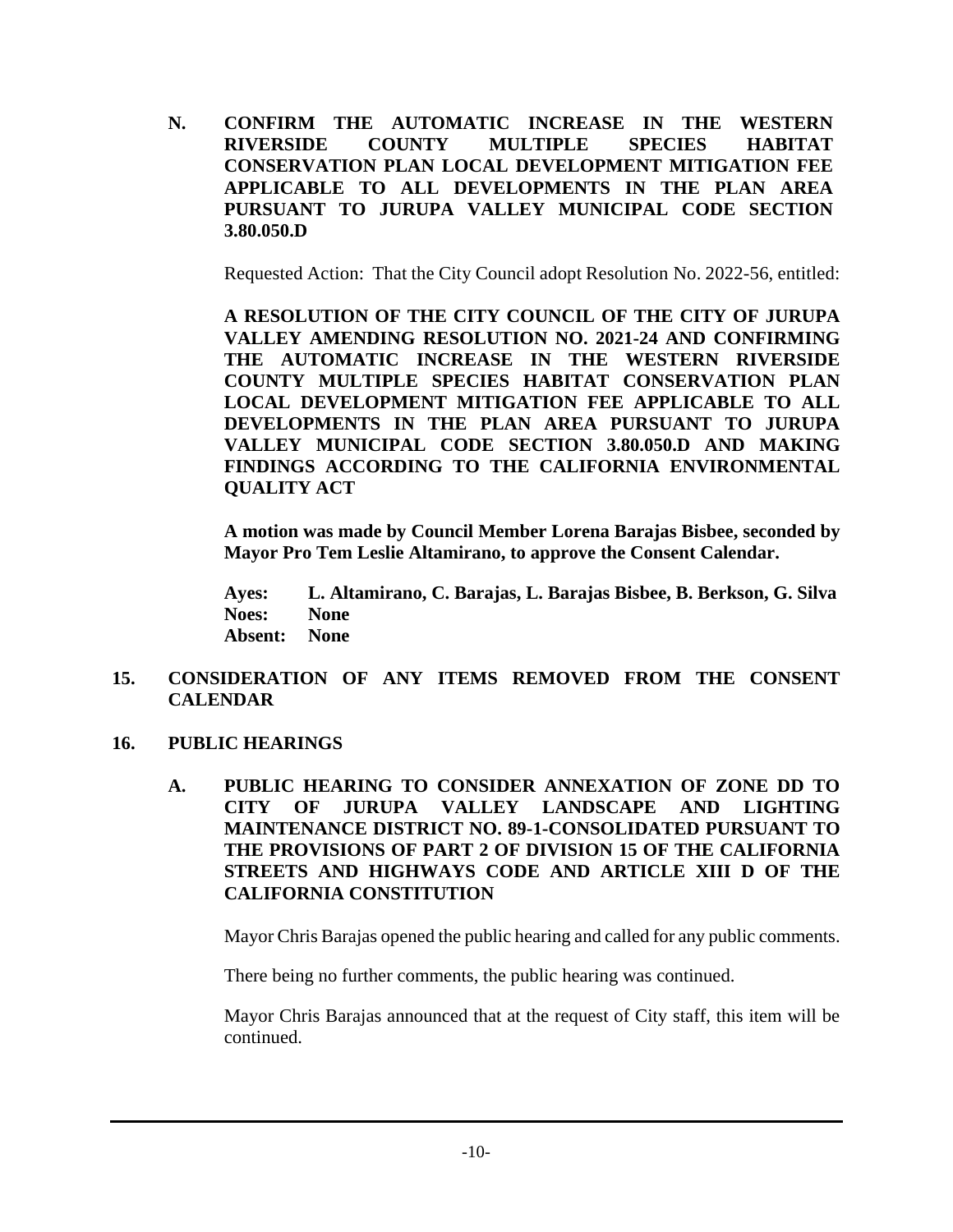**N. CONFIRM THE AUTOMATIC INCREASE IN THE WESTERN RIVERSIDE COUNTY MULTIPLE SPECIES HABITAT CONSERVATION PLAN LOCAL DEVELOPMENT MITIGATION FEE APPLICABLE TO ALL DEVELOPMENTS IN THE PLAN AREA PURSUANT TO JURUPA VALLEY MUNICIPAL CODE SECTION 3.80.050.D**

Requested Action: That the City Council adopt Resolution No. 2022-56, entitled:

**A RESOLUTION OF THE CITY COUNCIL OF THE CITY OF JURUPA VALLEY AMENDING RESOLUTION NO. 2021-24 AND CONFIRMING THE AUTOMATIC INCREASE IN THE WESTERN RIVERSIDE COUNTY MULTIPLE SPECIES HABITAT CONSERVATION PLAN LOCAL DEVELOPMENT MITIGATION FEE APPLICABLE TO ALL DEVELOPMENTS IN THE PLAN AREA PURSUANT TO JURUPA VALLEY MUNICIPAL CODE SECTION 3.80.050.D AND MAKING FINDINGS ACCORDING TO THE CALIFORNIA ENVIRONMENTAL QUALITY ACT**

**A motion was made by Council Member Lorena Barajas Bisbee, seconded by Mayor Pro Tem Leslie Altamirano, to approve the Consent Calendar.**

**Ayes: L. Altamirano, C. Barajas, L. Barajas Bisbee, B. Berkson, G. Silva Noes: None Absent: None**

- **15. CONSIDERATION OF ANY ITEMS REMOVED FROM THE CONSENT CALENDAR**
- **16. PUBLIC HEARINGS**
	- **A. PUBLIC HEARING TO CONSIDER ANNEXATION OF ZONE DD TO CITY OF JURUPA VALLEY LANDSCAPE AND LIGHTING MAINTENANCE DISTRICT NO. 89-1-CONSOLIDATED PURSUANT TO THE PROVISIONS OF PART 2 OF DIVISION 15 OF THE CALIFORNIA STREETS AND HIGHWAYS CODE AND ARTICLE XIII D OF THE CALIFORNIA CONSTITUTION**

Mayor Chris Barajas opened the public hearing and called for any public comments.

There being no further comments, the public hearing was continued.

Mayor Chris Barajas announced that at the request of City staff, this item will be continued.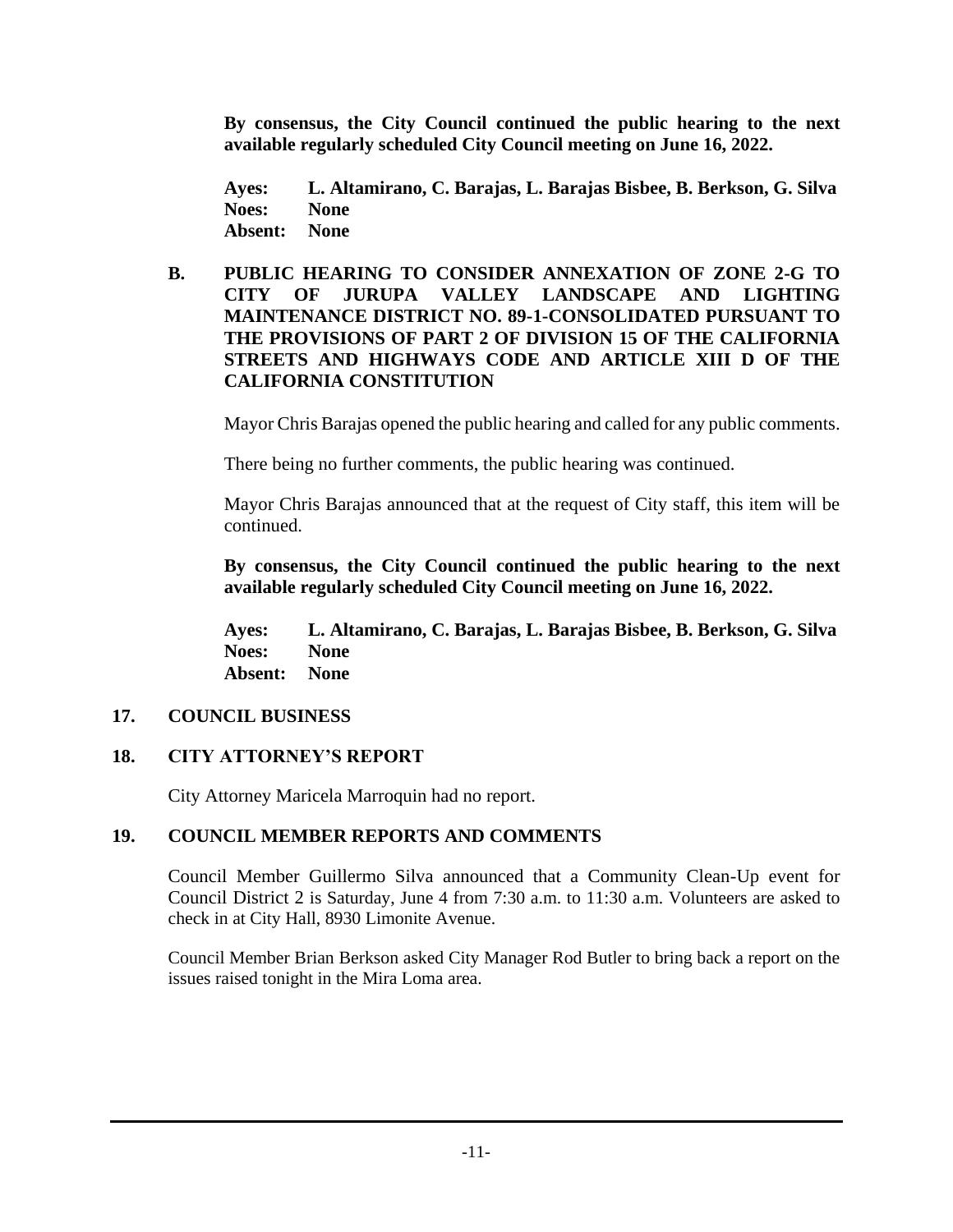**By consensus, the City Council continued the public hearing to the next available regularly scheduled City Council meeting on June 16, 2022.**

**Ayes: L. Altamirano, C. Barajas, L. Barajas Bisbee, B. Berkson, G. Silva Noes: None Absent: None**

#### **B. PUBLIC HEARING TO CONSIDER ANNEXATION OF ZONE 2-G TO CITY OF JURUPA VALLEY LANDSCAPE AND LIGHTING MAINTENANCE DISTRICT NO. 89-1-CONSOLIDATED PURSUANT TO THE PROVISIONS OF PART 2 OF DIVISION 15 OF THE CALIFORNIA STREETS AND HIGHWAYS CODE AND ARTICLE XIII D OF THE CALIFORNIA CONSTITUTION**

Mayor Chris Barajas opened the public hearing and called for any public comments.

There being no further comments, the public hearing was continued.

Mayor Chris Barajas announced that at the request of City staff, this item will be continued.

**By consensus, the City Council continued the public hearing to the next available regularly scheduled City Council meeting on June 16, 2022.**

**Ayes: L. Altamirano, C. Barajas, L. Barajas Bisbee, B. Berkson, G. Silva Noes: None Absent: None**

## **17. COUNCIL BUSINESS**

## **18. CITY ATTORNEY'S REPORT**

City Attorney Maricela Marroquin had no report.

## **19. COUNCIL MEMBER REPORTS AND COMMENTS**

Council Member Guillermo Silva announced that a Community Clean-Up event for Council District 2 is Saturday, June 4 from 7:30 a.m. to 11:30 a.m. Volunteers are asked to check in at City Hall, 8930 Limonite Avenue.

Council Member Brian Berkson asked City Manager Rod Butler to bring back a report on the issues raised tonight in the Mira Loma area.